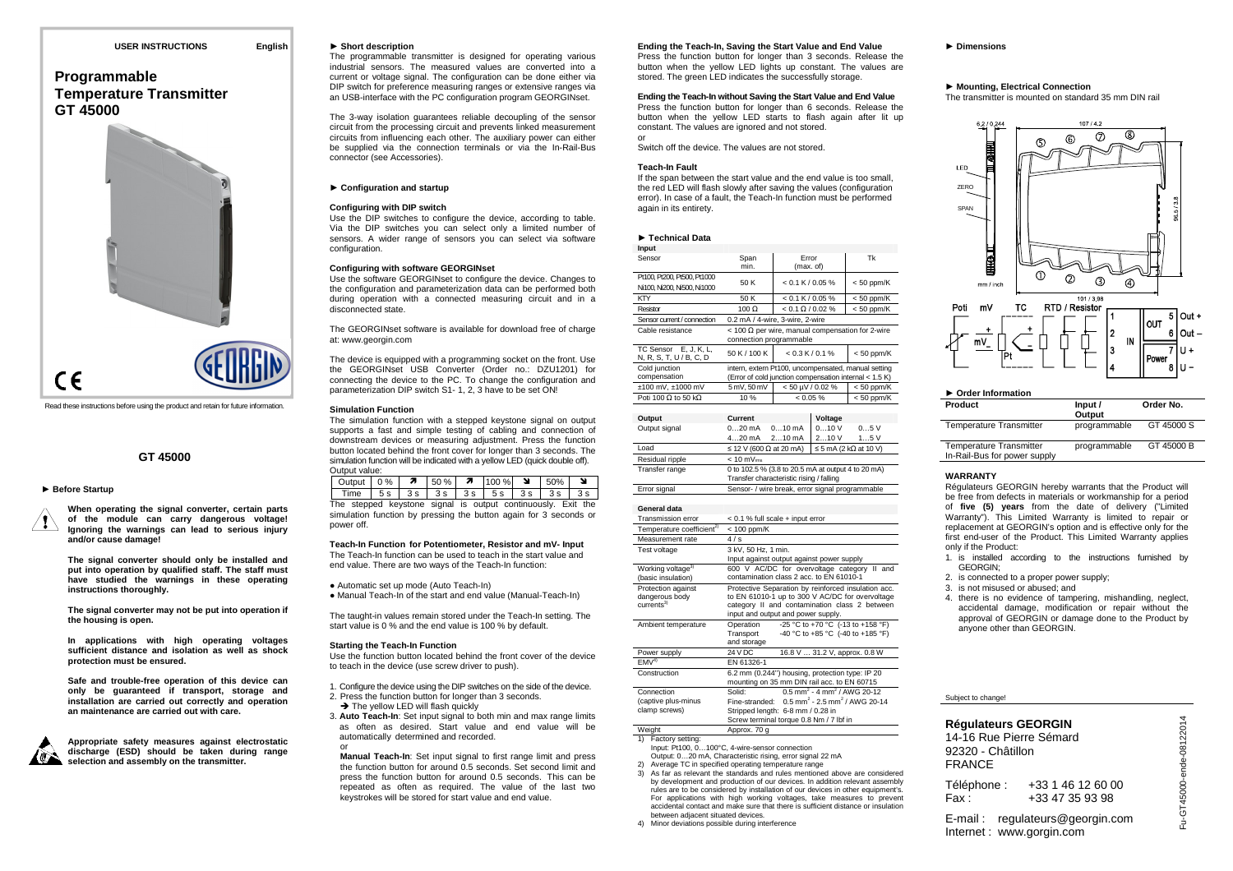# **Programmable Temperature TransmitterGT 45000**



Read these instructions before using the product and retain for future information.

### **GT 45000**

### ► **Before Startup**

**When operating the signal converter, certain parts of the module can carry dangerous voltage! Ignoring the warnings can lead to serious injury and/or cause damage!** 

**The signal converter should only be installed and put into operation by qualified staff. The staff must have studied the warnings in these operating instructions thoroughly.** 

**The signal converter may not be put into operation if the housing is open.** 

**In applications with high operating voltages sufficient distance and isolation as well as shock protection must be ensured.** 

**Safe and trouble-free operation of this device can only be guaranteed if transport, storage and installation are carried out correctly and operation an maintenance are carried out with care.** 



**Appropriate safety measures against electrostatic discharge (ESD) should be taken during range selection and assembly on the transmitter.** 

### ► **Short description**

 The programmable transmitter is designed for operating various industrial sensors. The measured values are converted into a current or voltage signal. The configuration can be done either via DIP switch for preference measuring ranges or extensive ranges via an USB-interface with the PC configuration program GEORGINset.

The 3-way isolation guarantees reliable decoupling of the sensor circuit from the processing circuit and prevents linked measurement circuits from influencing each other. The auxiliary power can either be supplied via the connection terminals or via the In-Rail-Bus connector (see Accessories).

### ► **Configuration and startup**

### **Configuring with DIP switch**

 Use the DIP switches to configure the device, according to table. Via the DIP switches you can select only a limited number of sensors. A wider range of sensors you can select via software configuration.

### **Configuring with software GEORGINset**

 Use the software GEORGINset to configure the device. Changes to the configuration and parameterization data can be performed both during operation with a connected measuring circuit and in a disconnected state.

The GEORGINset software is available for download free of charge at: www.georgin.com

The device is equipped with a programming socket on the front. Use the GEORGINset USB Converter (Order no.: DZU1201) for connecting the device to the PC. To change the configuration and parameterization DIP switch S1- 1, 2, 3 have to be set ON!

### **Simulation Function**

 The simulation function with a stepped keystone signal on output supports a fast and simple testing of cabling and connection of downstream devices or measuring adjustment. Press the function button located behind the front cover for longer than 3 seconds. The simulation function will be indicated with a yellow LED (quick double off). Output value:

| Output   0 %   $\pi$   50 %   $\pi$   100 % |  |  |                                                          | 50% |  |
|---------------------------------------------|--|--|----------------------------------------------------------|-----|--|
| Time                                        |  |  | 5 s   3 s   3 s   3 s   3 s   3 s   3 s                  |     |  |
| The                                         |  |  | stepped keystone signal is output continuously. Exit the |     |  |

The stepped keystone signal is output continuously. Exit the simulation function by pressing the button again for 3 seconds or power off.

**Teach-In Function for Potentiometer, Resistor and mV- Input**  The Teach-In function can be used to teach in the start value and end value. There are two ways of the Teach-In function:

● Automatic set up mode (Auto Teach-In)

● Manual Teach-In of the start and end value (Manual-Teach-In)

The taught-in values remain stored under the Teach-In setting. The start value is 0 % and the end value is 100 % by default.

### **Starting the Teach-In Function**

 Use the function button located behind the front cover of the device to teach in the device (use screw driver to push).

- 1. Configure the device using the DIP switches on the side of the device.
- 2. Press the function button for longer than 3 seconds.  $\rightarrow$  The yellow LED will flash quickly
- 3. **Auto Teach-In**: Set input signal to both min and max range limits as often as desired. Start value and end value will be automatically determined and recorded.

or **Manual Teach-In**: Set input signal to first range limit and press the function button for around 0.5 seconds. Set second limit and press the function button for around 0.5 seconds. This can be repeated as often as required. The value of the last two keystrokes will be stored for start value and end value.

### **Ending the Teach-In, Saving the Start Value and End Value**

 Press the function button for longer than 3 seconds. Release the button when the yellow LED lights up constant. The values are stored. The green LED indicates the successfully storage.

### **Ending the Teach-In without Saving the Start Value and End Value**

 Press the function button for longer than 6 seconds. Release the button when the yellow LED starts to flash again after lit up constant. The values are ignored and not stored. or

Switch off the device. The values are not stored.

### **Teach-In Fault**

 If the span between the start value and the end value is too small, the red LED will flash slowly after saving the values (configuration error). In case of a fault, the Teach-In function must be performed again in its entirety.

### ► **Technical Data**

| Input                                                        |                                                                                                                 |                                                             |                                                       |                                                                                                                                                         |  |  |  |  |  |  |  |
|--------------------------------------------------------------|-----------------------------------------------------------------------------------------------------------------|-------------------------------------------------------------|-------------------------------------------------------|---------------------------------------------------------------------------------------------------------------------------------------------------------|--|--|--|--|--|--|--|
| Sensor                                                       | Span<br>min.                                                                                                    | Error<br>(max. of)                                          |                                                       | Tk                                                                                                                                                      |  |  |  |  |  |  |  |
| Pt100, Pt200, Pt500, Pt1000<br>Ni100, Ni200, Ni500, Ni1000   | 50 K                                                                                                            | $< 0.1 K / 0.05 \%$                                         |                                                       | $< 50$ ppm/K                                                                                                                                            |  |  |  |  |  |  |  |
| KTY                                                          | 50 K                                                                                                            | $< 0.1 K / 0.05 \%$                                         |                                                       | $< 50$ ppm/K                                                                                                                                            |  |  |  |  |  |  |  |
| Resistor                                                     | $100 \Omega$                                                                                                    | $< 50$ ppm/K                                                |                                                       |                                                                                                                                                         |  |  |  |  |  |  |  |
| Sensor current / connection                                  |                                                                                                                 | $< 0.1 \Omega / 0.02 \%$<br>0.2 mA / 4-wire, 3-wire, 2-wire |                                                       |                                                                                                                                                         |  |  |  |  |  |  |  |
| Cable resistance                                             | connection programmable                                                                                         |                                                             |                                                       | $<$ 100 $\Omega$ per wire, manual compensation for 2-wire                                                                                               |  |  |  |  |  |  |  |
| TC Sensor<br>E, J, K, L,<br>N, R, S, T, U / B, C, D          | 50 K / 100 K                                                                                                    |                                                             | $< 0.3 K / 0.1 \%$                                    | $< 50$ ppm/K                                                                                                                                            |  |  |  |  |  |  |  |
| Cold junction<br>compensation                                |                                                                                                                 |                                                             |                                                       | intern, extern Pt100, uncompensated, manual setting<br>(Error of cold junction compensation internal < 1.5 K)                                           |  |  |  |  |  |  |  |
| ±100 mV, ±1000 mV                                            | 5 mV, 50 mV                                                                                                     |                                                             | $< 50 \mu V / 0.02 \%$                                | $< 50$ ppm/K                                                                                                                                            |  |  |  |  |  |  |  |
| Poti 100 $\Omega$ to 50 k $\Omega$                           | 10%                                                                                                             | < 0.05 %                                                    |                                                       | $< 50$ ppm/K                                                                                                                                            |  |  |  |  |  |  |  |
|                                                              |                                                                                                                 |                                                             |                                                       |                                                                                                                                                         |  |  |  |  |  |  |  |
| Output                                                       | Current                                                                                                         |                                                             | Voltage                                               |                                                                                                                                                         |  |  |  |  |  |  |  |
| Output signal                                                | $020$ mA                                                                                                        | $010 \text{ mA}$                                            | 010V                                                  | 0.05V                                                                                                                                                   |  |  |  |  |  |  |  |
|                                                              | $420$ mA                                                                                                        | $210$ mA                                                    | 210V                                                  | 15V                                                                                                                                                     |  |  |  |  |  |  |  |
| Load                                                         | $\leq$ 12 V (600 $\Omega$ at 20 mA)                                                                             |                                                             |                                                       | $\leq$ 5 mA (2 k $\Omega$ at 10 V)                                                                                                                      |  |  |  |  |  |  |  |
| Residual ripple                                              | $< 10 mV_{\text{rms}}$                                                                                          |                                                             |                                                       |                                                                                                                                                         |  |  |  |  |  |  |  |
| Transfer range                                               | 0 to 102.5 % (3.8 to 20.5 mA at output 4 to 20 mA)<br>Transfer characteristic rising / falling                  |                                                             |                                                       |                                                                                                                                                         |  |  |  |  |  |  |  |
| Error signal                                                 | Sensor- / wire break, error signal programmable                                                                 |                                                             |                                                       |                                                                                                                                                         |  |  |  |  |  |  |  |
|                                                              |                                                                                                                 |                                                             |                                                       |                                                                                                                                                         |  |  |  |  |  |  |  |
| General data                                                 |                                                                                                                 |                                                             |                                                       |                                                                                                                                                         |  |  |  |  |  |  |  |
| Transmission error                                           | < 0.1 % full scale + input error                                                                                |                                                             |                                                       |                                                                                                                                                         |  |  |  |  |  |  |  |
| Temperature coefficient <sup>2)</sup>                        | $< 100$ ppm/K                                                                                                   |                                                             |                                                       |                                                                                                                                                         |  |  |  |  |  |  |  |
| Measurement rate                                             | 4/s                                                                                                             |                                                             |                                                       |                                                                                                                                                         |  |  |  |  |  |  |  |
| Test voltage                                                 | 3 kV, 50 Hz, 1 min.                                                                                             |                                                             |                                                       |                                                                                                                                                         |  |  |  |  |  |  |  |
| Working voltage <sup>3)</sup>                                | Input against output against power supply                                                                       |                                                             |                                                       |                                                                                                                                                         |  |  |  |  |  |  |  |
| (basic insulation)                                           | 600 V AC/DC for overvoltage category II and<br>contamination class 2 acc. to EN 61010-1                         |                                                             |                                                       |                                                                                                                                                         |  |  |  |  |  |  |  |
| Protection against<br>dangerous body<br>current <sub>3</sub> | input and output and power supply.                                                                              |                                                             |                                                       | Protective Separation by reinforced insulation acc.<br>to EN 61010-1 up to 300 V AC/DC for overvoltage<br>category II and contamination class 2 between |  |  |  |  |  |  |  |
| Ambient temperature                                          | -25 °C to +70 °C (-13 to +158 °F)<br>Operation<br>Transport<br>-40 °C to +85 °C (-40 to +185 °F)<br>and storage |                                                             |                                                       |                                                                                                                                                         |  |  |  |  |  |  |  |
| Power supply                                                 | 24 V DC<br>16.8 V  31.2 V, approx. 0.8 W                                                                        |                                                             |                                                       |                                                                                                                                                         |  |  |  |  |  |  |  |
| EMV <sup>4</sup>                                             | EN 61326-1                                                                                                      |                                                             |                                                       |                                                                                                                                                         |  |  |  |  |  |  |  |
| Construction                                                 | 6.2 mm (0.244") housing, protection type: IP 20<br>mounting on 35 mm DIN rail acc. to EN 60715                  |                                                             |                                                       |                                                                                                                                                         |  |  |  |  |  |  |  |
| Connection                                                   | Solid:                                                                                                          |                                                             | $0.5$ mm <sup>2</sup> - 4 mm <sup>2</sup> / AWG 20-12 |                                                                                                                                                         |  |  |  |  |  |  |  |
| (captive plus-minus                                          | Fine-stranded:                                                                                                  |                                                             |                                                       | $0.5$ mm <sup>2</sup> - 2.5 mm <sup>2</sup> / AWG 20-14                                                                                                 |  |  |  |  |  |  |  |
| clamp screws)                                                | Stripped length: 6-8 mm / 0.28 in                                                                               |                                                             |                                                       |                                                                                                                                                         |  |  |  |  |  |  |  |
|                                                              | Screw terminal torque 0.8 Nm / 7 lbf in                                                                         |                                                             |                                                       |                                                                                                                                                         |  |  |  |  |  |  |  |
| Weight                                                       | Approx, 70 a                                                                                                    |                                                             |                                                       |                                                                                                                                                         |  |  |  |  |  |  |  |

- Input: Pt100, 0…100°C, 4-wire-sensor connection Output: 0…20 mA, Characteristic rising, error signal 22 mA
- 2) Average TC in specified operating temperature range
- 3) As far as relevant the standards and rules mentioned above are considered by development and production of our devices. In addition relevant assembly rules are to be considered by installation of our devices in other equipment's. For applications with high working voltages, take measures to prevent accidental contact and make sure that there is sufficient distance or insulation between adjacent situated devices.
- 4) Minor deviations possible during interference

### ► **Dimensions**

### ► Mounting, Electrical Connection

**Mounting, Electrical Connection**  The transmitter is mounted on standard 35 mm DIN rail



| ▶ Order Information                                            |                   |            |
|----------------------------------------------------------------|-------------------|------------|
| Product                                                        | Input /<br>Output | Order No.  |
| <b>Temperature Transmitter</b>                                 | programmable      | GT 45000 S |
| <b>Temperature Transmitter</b><br>In-Rail-Bus for power supply | programmable      | GT 45000 B |

### **WARRANTY**

 Régulateurs GEORGIN hereby warrants that the Product will be free from defects in materials or workmanship for a period of **five (5) years** from the date of delivery ("Limited Warranty"). This Limited Warranty is limited to repair or replacement at GEORGIN's option and is effective only for the first end-user of the Product. This Limited Warranty applies only if the Product:

- 1. is installed according to the instructions furnished by GEORGIN:
- 2. is connected to a proper power supply;
- 3. is not misused or abused; and
- 4. there is no evidence of tampering, mishandling, neglect, accidental damage, modification or repair without the approval of GEORGIN or damage done to the Product by anyone other than GEORGIN.

### Subject to change!

### **Régulateurs GEORGIN**

 14-16 Rue Pierre Sémard 92320 - Châtillon FRANCE

| Téléphone : | +33 1 46 12 60 00 |
|-------------|-------------------|
| Fax :       | +33 47 35 93 98   |

E-mail : regulateurs@georgin.com Internet : www.gorgin.com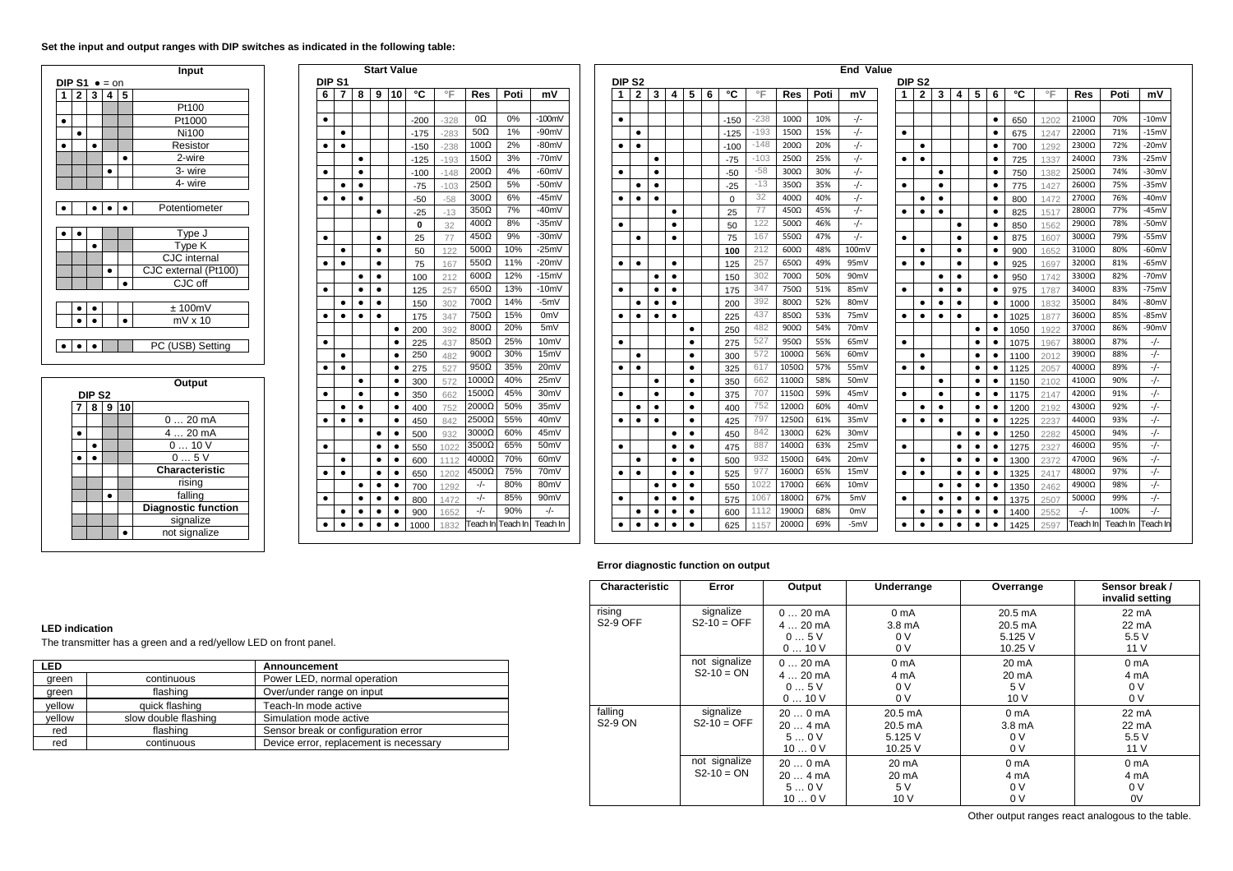# **Set the input and output ranges with DIP switches as indicated in the following table:**

|                       |   |   |   | Input                |  |  |  |  |  |  |
|-----------------------|---|---|---|----------------------|--|--|--|--|--|--|
| DIP S1 $\bullet$ = on |   |   |   |                      |  |  |  |  |  |  |
| 2                     | 3 | 4 | 5 |                      |  |  |  |  |  |  |
|                       |   |   |   | Pt100                |  |  |  |  |  |  |
|                       |   |   |   | Pt1000               |  |  |  |  |  |  |
|                       |   |   |   | Ni100                |  |  |  |  |  |  |
|                       |   |   |   | Resistor             |  |  |  |  |  |  |
|                       |   |   | h | 2-wire               |  |  |  |  |  |  |
|                       |   |   |   | 3- wire              |  |  |  |  |  |  |
|                       |   |   |   | 4- wire              |  |  |  |  |  |  |
|                       |   |   |   |                      |  |  |  |  |  |  |
|                       |   |   |   | Potentiometer        |  |  |  |  |  |  |
|                       |   |   |   |                      |  |  |  |  |  |  |
|                       |   |   |   | Type J               |  |  |  |  |  |  |
|                       |   |   |   | Type K               |  |  |  |  |  |  |
|                       |   |   |   | CJC internal         |  |  |  |  |  |  |
|                       |   |   |   | CJC external (Pt100) |  |  |  |  |  |  |
|                       |   |   |   | CJC off              |  |  |  |  |  |  |
|                       |   |   |   |                      |  |  |  |  |  |  |
|                       |   |   |   | ±100mV               |  |  |  |  |  |  |
|                       |   |   |   | $mV \times 10$       |  |  |  |  |  |  |
|                       |   |   |   |                      |  |  |  |  |  |  |
|                       |   |   |   | PC (USB) Setting     |  |  |  |  |  |  |

|  |                   |   |    | Output                     |
|--|-------------------|---|----|----------------------------|
|  | DIP <sub>S2</sub> |   |    |                            |
|  | 8                 | 9 | 10 |                            |
|  |                   |   |    | 020mA                      |
|  |                   |   |    | 4  20 mA                   |
|  |                   |   |    | 010V                       |
|  |                   |   |    | 05V                        |
|  |                   |   |    | Characteristic             |
|  |                   |   |    | rising                     |
|  |                   |   |    | falling                    |
|  |                   |   |    | <b>Diagnostic function</b> |
|  |                   |   |    | signalize                  |
|  |                   |   |    | not signalize              |

| 7         | 8         | 9         | 10        | °C     | $\circ \mathsf{F}$ | <b>Res</b>   | Poti | mV                |
|-----------|-----------|-----------|-----------|--------|--------------------|--------------|------|-------------------|
|           |           |           |           | $-200$ | $-328$             | 0Ω           | 0%   | $-100mV$          |
| ٠         |           |           |           | $-175$ | $-283$             | 50 $\Omega$  | 1%   | $-90mV$           |
| ٠         |           |           |           | $-150$ | $-238$             | $100\Omega$  | 2%   | $-80mV$           |
|           | ٠         |           |           | $-125$ | $-193$             | $150\Omega$  | 3%   | $-70mV$           |
|           | $\bullet$ |           |           | $-100$ | $-148$             | 200Ω         | 4%   | $-60mV$           |
| ٠         | ٠         |           |           | -75    | $-103$             | 250Ω         | 5%   | $-50mV$           |
| ٠         | ٠         |           |           | $-50$  | $-58$              | $300\Omega$  | 6%   | $-45mV$           |
|           |           | ٠         |           | $-25$  | $-13$              | $350\Omega$  | 7%   | $-40mV$           |
|           |           |           |           | 0      | 32                 | $400\Omega$  | 8%   | $-35mV$           |
|           |           |           |           | 25     | 77                 | $450\Omega$  | 9%   | $-30mV$           |
| ٠         |           |           |           | 50     | 122                | $500\Omega$  | 10%  | $-25mV$           |
| ٠         |           | ٠         |           | 75     | 167                | $550\Omega$  | 11%  | $-20mV$           |
|           | ٠         | ٠         |           | 100    | 212                | $600\Omega$  | 12%  | $-15mV$           |
|           | ٠         | ٠         |           | 125    | 257                | $650\Omega$  | 13%  | $-10mV$           |
| ٠         | $\bullet$ | ٠         |           | 150    | 302                | 700Ω         | 14%  | -5mV              |
| ٠         | $\bullet$ | ٠         |           | 175    | 347                | 750Ω         | 15%  | 0 <sub>m</sub>    |
|           |           |           | ٠         | 200    | 392                | 800Ω         | 20%  | 5mV               |
|           |           |           | ٠         | 225    | 437                | $850\Omega$  | 25%  | 10 <sub>m</sub> V |
| ٠         |           |           | $\bullet$ | 250    | 482                | $900\Omega$  | 30%  | 15mV              |
|           |           |           |           | 275    | 527                | $950\Omega$  | 35%  | 20 <sub>m</sub> V |
|           | ٠         |           | ٠         | 300    | 572                | $1000\Omega$ | 40%  | 25mV              |
|           | ٠         |           | ٠         | 350    | 662                | $1500\Omega$ | 45%  | 30mV              |
| ٠         | ٠         |           | ٠         | 400    | 752                | 2000Ω        | 50%  | 35mV              |
| ٠         | ٠         |           | ٠         | 450    | 842                | 2500Ω        | 55%  | 40mV              |
|           |           | ٠         | ٠         | 500    | 932                | 3000Ω        | 60%  | 45mV              |
|           |           | ٠         | $\bullet$ | 550    | 1022               | 3500Ω        | 65%  | 50 <sub>m</sub> V |
| $\bullet$ |           | $\bullet$ | $\bullet$ | 600    | 1112               | $4000\Omega$ | 70%  | 60mV              |
| $\bullet$ |           | $\bullet$ | $\bullet$ | 650    | 1202               | $4500\Omega$ | 75%  | 70mV              |
|           |           |           |           | 700    | 1292               | -/-          | 80%  | 80mV              |
|           | ٠         |           |           | 800    | 1472               | -/-          | 85%  | 90mV              |
| ٠         | ٠         | ٠         | ٠         | 900    | 1652               | -/-          | 90%  | $-/-$             |

|           |                   |                | <b>Start Value</b>     |           |            |            |                            |          |                   |  |           |                   |                        |           |           |   |            |           |                            |            | <b>End Value</b>  |           |                        |                |                        |           |                        |             |              |                       |            |                  |
|-----------|-------------------|----------------|------------------------|-----------|------------|------------|----------------------------|----------|-------------------|--|-----------|-------------------|------------------------|-----------|-----------|---|------------|-----------|----------------------------|------------|-------------------|-----------|------------------------|----------------|------------------------|-----------|------------------------|-------------|--------------|-----------------------|------------|------------------|
|           | DIP <sub>S1</sub> |                |                        |           |            |            |                            |          |                   |  |           | DIP <sub>S2</sub> |                        |           |           |   |            |           |                            |            |                   |           | DIP <sub>S2</sub>      |                |                        |           |                        |             |              |                       |            |                  |
| 6         | 7                 | 8              | 9                      | <b>10</b> | ۰c         | $\circ$ F  | <b>Res</b>                 | Poti     | mV                |  |           | $\mathbf{2}$      | $3^{\circ}$            | 4         | 5         | 6 | °C         | °F        | <b>Res</b>                 | Poti       | mV                | 1         | $\mathbf{2}$           | 3              | 4                      | 5         | 6                      | ۰c          | °F           | <b>Res</b>            | Poti       | mV               |
|           |                   |                |                        |           |            |            |                            |          |                   |  |           |                   |                        |           |           |   |            |           |                            |            |                   |           |                        |                |                        |           |                        |             |              |                       |            |                  |
| ٠         |                   |                |                        |           | $-200$     | $-328$     | 0Ω                         | 0%       | $-100mV$          |  | $\bullet$ |                   |                        |           |           |   | $-150$     | $-238$    | $100\Omega$                | 10%        | $-/-$             |           |                        |                |                        |           | $\bullet$              | 650         | 1202         | 2100Ω                 | 70%        | $-10mV$          |
|           | ٠                 |                |                        |           | $-175$     | $-283$     | $50\Omega$                 | 1%       | $-90mV$           |  |           | ٠                 |                        |           |           |   | $-125$     | $-193$    | $150\Omega$                | 15%        | $-/-$             | $\bullet$ |                        |                |                        |           | ٠                      | 675         | 1247         | 2200Ω                 | 71%        | $-15mV$          |
| ٠         | ٠                 |                |                        |           | $-150$     | $-238$     | 100 $\Omega$               | 2%       | $-80mV$           |  | ٠         | ٠                 |                        |           |           |   | $-100$     | $-148$    | $200\Omega$                | 20%        | $-/-$             |           | ٠                      |                |                        |           | $\bullet$              | 700         | 1292         | 2300Ω                 | 72%        | $-20mV$          |
|           |                   | ٠              |                        |           | $-125$     | $-193$     | 150 $\Omega$               | 3%       | $-70mV$           |  |           |                   | $\bullet$              |           |           |   | $-75$      | -103      | $250\Omega$                | 25%        | $-/-$             | ٠         | ٠                      |                |                        |           | ٠                      | 725         | 1337         | 2400Ω                 | 73%        | -25mV            |
| ٠         |                   | ٠              |                        |           | $-100$     | $-148$     | $200\Omega$                | 4%       | $-60mV$           |  | ٠         |                   | ٠                      |           |           |   | $-50$      | $-58$     | $300\Omega$                | 30%        | $-/-$             |           |                        | ٠              |                        |           | ٠                      | 750         | 1382         | 2500Ω                 | 74%        | $-30mV$          |
|           |                   | ٠              |                        |           | $-75$      | $-103$     | $250\Omega$                | 5%       | $-50mV$           |  |           |                   | $\bullet$              |           |           |   | $-25$      | $-13$     | $350\Omega$                | 35%        | $-/-$             | ٠         |                        | $\bullet$      |                        |           | ٠                      | 775         | 142          | $2600\Omega$          | 75%        | -35mV            |
| $\bullet$ | ٠                 | ٠              |                        |           | $-50$      | $-58$      | $300\Omega$                | 6%<br>7% | -45mV             |  | $\bullet$ | $\bullet$         | $\bullet$              |           |           |   | $\Omega$   | 32        | $400\Omega$                | 40%        | $-/-$             |           | $\bullet$              | $\bullet$      |                        |           | ٠                      | 800         | 1472         | 2700Ω                 | 76%        | $-40mV$          |
|           |                   |                | $\bullet$              |           | $-25$      | $-13$      | $350\Omega$<br>$400\Omega$ | 8%       | -40mV<br>$-35mV$  |  |           |                   |                        | $\bullet$ |           |   | 25         | 77<br>122 | $450\Omega$                | 45%        | $-/-$             | $\bullet$ | ٠                      | ٠              |                        |           | $\bullet$              | 825         | 1517         | 2800Ω                 | 77%        | $-45mV$          |
|           |                   |                |                        |           | 0          | 32         | $450\Omega$                | 9%       | -30mV             |  | $\bullet$ |                   |                        | $\bullet$ |           |   | 50         | 167       | 500 $\Omega$               | 46%<br>47% | $-/-$             |           |                        |                | $\bullet$              |           | $\bullet$              | 850         | 1562         | 2900Ω                 | 78%<br>79% | -50mV<br>$-55mV$ |
| $\bullet$ |                   |                | $\bullet$<br>$\bullet$ |           | 25         | 77         | $500\Omega$                | 10%      | $-25mV$           |  |           | $\bullet$         |                        | $\bullet$ |           |   | 75         | 212       | 550 $\Omega$               | 48%        | $-/-$<br>100mV    | $\bullet$ |                        |                | $\bullet$              |           | $\bullet$              | 875         | 1607         | $3000\Omega$          | 80%        |                  |
|           | ٠<br>$\bullet$    |                |                        |           | 50         | 122        | $550\Omega$                | 11%      | $-20mV$           |  |           | $\bullet$         |                        | $\bullet$ |           |   | 100        | 257       | $600\Omega$<br>$650\Omega$ | 49%        | 95mV              | $\bullet$ | $\bullet$<br>$\bullet$ |                | $\bullet$<br>$\bullet$ |           | $\bullet$<br>$\bullet$ | 900         | 1652         | $3100\Omega$<br>3200Ω | 81%        | -60mV<br>$-65mV$ |
| ٠         |                   |                | ٠<br>$\bullet$         |           | 75         | 167        | $600\Omega$                | 12%      | $-15mV$           |  | ٠         |                   | $\bullet$<br>$\bullet$ |           |           |   | 125<br>150 | 302       | 700Ω                       | 50%        | 90 <sub>mV</sub>  |           |                        | $\bullet$      |                        |           | ٠                      | 925         | 1697         | 3300Ω                 | 82%        | $-70mV$          |
| $\bullet$ |                   | ٠<br>$\bullet$ | $\bullet$              |           | 100<br>125 | 212        | $650\Omega$                | 13%      | $-10mV$           |  | ٠         |                   | $\bullet$<br>٠         |           |           |   |            | 347       | 750Ω                       | 51%        | 85mV              | $\bullet$ |                        |                | ٠<br>$\bullet$         |           | $\bullet$              | 950         | 1742<br>1787 | $3400\Omega$          | 83%        | $-75mV$          |
|           | ٠                 | ٠              | $\bullet$              |           |            | 257<br>302 | $700\Omega$                | 14%      | $-5mV$            |  |           | ٠                 | $\bullet$              |           |           |   | 175<br>200 | 392       | $800\Omega$                | 52%        | 80 <sub>mV</sub>  |           | ٠                      | ٠<br>$\bullet$ | $\bullet$              |           | ٠                      | 975<br>1000 | 1832         | 3500Ω                 | 84%        | $-80mV$          |
| ٠         | ٠                 | $\bullet$      | $\bullet$              |           | 150<br>175 | 347        | $750\Omega$                | 15%      | 0 <sub>m</sub> V  |  |           | $\bullet$         | $\bullet$<br>$\bullet$ |           |           |   | 225        | 437       | 850Ω                       | 53%        | 75mV              | $\bullet$ | $\bullet$              | $\bullet$      | $\bullet$              |           | $\bullet$              | 1025        | 187          | 3600Ω                 | 85%        | $-85mV$          |
|           |                   |                |                        | ٠         | 200        | 392        | $800\Omega$                | 20%      | 5mV               |  |           |                   |                        |           | ٠         |   | 250        | 482       | $900\Omega$                | 54%        | 70 <sub>mV</sub>  |           |                        |                |                        | $\bullet$ | $\bullet$              | 1050        | 1922         | 3700Ω                 | 86%        | -90mV            |
| ٠         |                   |                |                        | ٠         | 225        | 437        | $850\Omega$                | 25%      | 10 <sub>m</sub> V |  | ٠         |                   |                        |           | ٠         |   | 275        | 527       | $950\Omega$                | 55%        | 65mV              | $\bullet$ |                        |                |                        | ٠         | ٠                      | 1075        | 1967         | 3800Ω                 | 87%        | $-/-$            |
|           | ٠                 |                |                        | $\bullet$ | 250        | 482        | $900\Omega$                | 30%      | 15mV              |  |           | ٠                 |                        |           | ٠         |   | 300        | 572       | $1000\Omega$               | 56%        | 60 <sub>mV</sub>  |           |                        |                |                        | ٠         | ٠                      | 1100        | 2012         | 3900Ω                 | 88%        | $-/-$            |
|           | $\bullet$<br>٠    |                |                        | $\bullet$ | 275        | 527        | $950\Omega$                | 35%      | 20 <sub>m</sub> V |  | $\bullet$ | $\bullet$         |                        |           | $\bullet$ |   | 325        | 617       | 1050Ω                      | 57%        | 55 <sub>mV</sub>  | $\bullet$ | $\bullet$              |                |                        | ٠         | ٠                      | 1125        | 205          | 4000Ω                 | 89%        | $-/-$            |
|           |                   | $\bullet$      |                        |           | 300        | 572        | 1000Ω                      | 40%      | 25mV              |  |           |                   | $\bullet$              |           | ٠         |   | 350        | 662       | 1100Ω                      | 58%        | 50 <sub>mV</sub>  |           |                        | ٠              |                        | ٠         | ٠                      | 1150        | 2102         | 4100Ω                 | 90%        | $-/-$            |
| ٠         |                   | $\bullet$      |                        | ٠         | 350        | 662        | 1500Ω                      | 45%      | 30 <sub>m</sub> V |  | ٠         |                   | $\bullet$              |           | ٠         |   | 375        | 707       | 1150Ω                      | 59%        | 45mV              | $\bullet$ |                        | ٠              |                        | $\bullet$ | $\bullet$              | 1175        | 2147         | 4200Ω                 | 91%        | $-/-$            |
|           | $\bullet$         | $\bullet$      |                        | ٠         | 400        | 752        | 2000Ω                      | 50%      | 35mV              |  |           | $\bullet$         | $\bullet$              |           | $\bullet$ |   | 400        | 752       | 1200Ω                      | 60%        | 40 <sub>mV</sub>  |           | $\bullet$              | $\bullet$      |                        | $\bullet$ | $\bullet$              | 1200        | 2192         | 4300Ω                 | 92%        | $-/-$            |
| ٠         | ٠                 | $\bullet$      |                        | $\bullet$ | 450        | 842        | 2500Ω                      | 55%      | 40 <sub>m</sub> V |  | ٠         | $\bullet$         | $\bullet$              |           | ٠         |   | 425        | 797       | 1250Ω                      | 61%        | 35mV              | ٠         | $\bullet$              | $\bullet$      |                        | $\bullet$ | $\bullet$              | 1225        | 2237         | 4400Ω                 | 93%        | $-/-$            |
|           |                   |                | ٠                      | $\bullet$ | 500        | 932        | $3000\Omega$               | 60%      | 45mV              |  |           |                   |                        | ٠         | ٠         |   | 450        | 842       | 1300Ω                      | 62%        | 30mV              |           |                        |                | $\bullet$              | $\bullet$ | ٠                      | 1250        | 2282         | 4500Ω                 | 94%        | $-/-$            |
| ٠         |                   |                | ٠                      | ٠         | 550        | 1022       | 3500Ω                      | 65%      | 50 <sub>m</sub> V |  | ٠         |                   |                        | $\bullet$ | $\bullet$ |   | 475        | 887       | $1400\Omega$               | 63%        | 25mV              | $\bullet$ |                        |                | $\bullet$              | $\bullet$ | ٠                      | 1275        | 2327         | 4600Ω                 | 95%        | $-/-$            |
|           | ٠                 |                | $\bullet$              | ٠         | 600        | 1112       | $4000\Omega$               | 70%      | 60 <sub>m</sub> V |  |           | $\bullet$         |                        | $\bullet$ | $\bullet$ |   | 500        | 932       | $1500\Omega$               | 64%        | 20 <sub>m</sub> V |           | $\bullet$              |                | $\bullet$              | $\bullet$ | ٠                      | 1300        | 2372         | 4700Ω                 | 96%        | $-/-$            |
| ٠         | ٠                 |                |                        |           | 650        | 1202       | 4500Ω                      | 75%      | 70mV              |  |           | ٠                 | ٠                      |           | ٠         |   | 525        | 977       | $1600\Omega$               | 65%        | 15 <sub>mV</sub>  | $\bullet$ | $\bullet$              |                | $\bullet$              |           | ٠                      | 1325        | 2417         | 4800Ω                 | 97%        | $-/-$            |
|           |                   | $\bullet$      | $\bullet$              |           | 700        | 1292       | $-/-$                      | 80%      | 80 <sub>m</sub> V |  |           |                   | $\bullet$              |           |           |   | 550        | 1022      | 1700Ω                      | 66%        | 10 <sub>mV</sub>  |           |                        | $\bullet$      | $\bullet$              |           |                        | 1350        | 2462         | 4900Ω                 | 98%        | $-/-$            |
| ٠         |                   | $\bullet$      | ٠                      |           | 800        | 1472       | $-/-$                      | 85%      | 90 <sub>m</sub> V |  |           |                   | ٠                      |           | $\bullet$ |   | 575        | 1067      | 1800Ω                      | 67%        | 5mV               | ٠         |                        | $\bullet$      | ٠                      | $\bullet$ | ٠                      | 1375        | 2507         | $5000\Omega$          | 99%        | $-/-$            |
|           |                   | ٠              | ٠                      |           | 900        | 1652       | $-/-$                      | 90%      | $-/-$             |  |           | ٠                 | $\bullet$<br>٠         |           | $\bullet$ |   | 600        | 1112      | $1900\Omega$               | 68%        | 0 <sub>m</sub> V  |           | ٠                      | $\bullet$      | ٠                      | $\bullet$ |                        | 1400        | 2552         |                       | 100%       | $-/-$            |
| $\bullet$ | ٠                 | $\bullet$      | ٠                      | $\bullet$ | 1000       | 1832       | Teach In                   | Teach In | Teach In          |  | $\bullet$ | ٠                 | $\bullet$              | ٠         | $\bullet$ |   | 625        | 1157      | 2000Ω                      | 69%        | -5mV              | $\bullet$ | ٠                      | ٠              | ٠                      | $\bullet$ | $\bullet$              | 1425        | 2597         | Feach Ir              | Teach In   | Feach In         |
|           |                   |                |                        |           |            |            |                            |          |                   |  |           |                   |                        |           |           |   |            |           |                            |            |                   |           |                        |                |                        |           |                        |             |              |                       |            |                  |

# **Error diagnostic function on output**

| Characteristic            | Error                           | Output                                      | Underrange                                                     | Overrange                                          | Sensor break /<br>invalid setting                            |
|---------------------------|---------------------------------|---------------------------------------------|----------------------------------------------------------------|----------------------------------------------------|--------------------------------------------------------------|
| rising<br><b>S2-9 OFF</b> | signalize<br>$S2-10 = OFF$      | $020$ mA<br>$420 \text{ mA}$<br>05V<br>010V | 0 <sub>m</sub> A<br>3.8 <sub>m</sub> A<br>0V<br>0 <sup>V</sup> | 20.5 mA<br>$20.5 \text{ mA}$<br>5.125 V<br>10.25 V | $22 \text{ mA}$<br>$22 \text{ mA}$<br>5.5 V<br>11V           |
|                           | not signalize<br>$S2 - 10 = ON$ | $020$ mA<br>$420 \text{ mA}$<br>05V<br>010V | 0 <sub>m</sub> A<br>4 mA<br>0V<br>0 V                          | 20 mA<br>$20 \text{ mA}$<br>5V<br>10V              | 0 <sub>m</sub> A<br>4 mA<br>0 <sup>V</sup><br>0 <sup>V</sup> |
| falling<br>S2-9 ON        | signalize<br>$S2 - 10 = OFF$    | $200 \,\text{mA}$<br>204mA<br>50V<br>100V   | $20.5 \text{ mA}$<br>20.5 mA<br>5.125 V<br>10.25 V             | 0 <sub>m</sub> A<br>3.8 <sub>m</sub> A<br>0V<br>0V | $22 \text{ mA}$<br>$22 \text{ mA}$<br>5.5 V<br>11 V          |
|                           | not signalize<br>$S2 - 10 = ON$ | $200 \,\text{mA}$<br>204mA<br>50V<br>100V   | $20 \text{ mA}$<br>20 mA<br>5 V<br>10V                         | 0 <sub>m</sub> A<br>4 mA<br>0V<br>0 <sup>V</sup>   | 0 <sub>m</sub> A<br>4 mA<br>0 <sup>V</sup><br>0V             |

### **LED indication**

The transmitter has a green and a red/yellow LED on front panel.

| <b>LED</b> |                      | Announcement                           |
|------------|----------------------|----------------------------------------|
| green      | continuous           | Power LED, normal operation            |
| green      | flashing             | Over/under range on input              |
| vellow     | quick flashing       | Teach-In mode active                   |
| vellow     | slow double flashing | Simulation mode active                 |
| red        | flashing             | Sensor break or configuration error    |
| red        | continuous           | Device error, replacement is necessary |

Other output ranges react analogous to the table.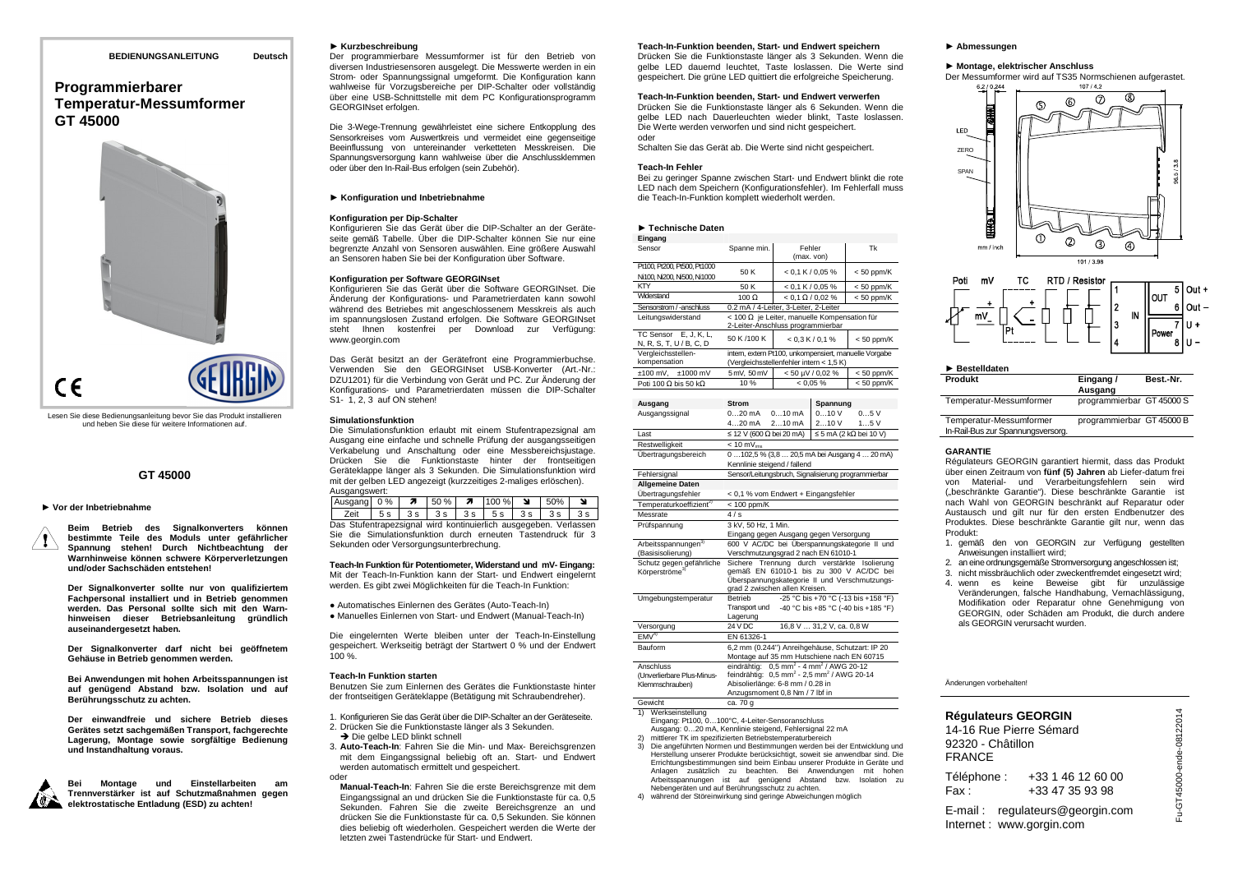### **BEDIENUNGSANLEITUNG Deutsch**

# **Programmierbarer Temperatur-Messumformer GT 45000**



Lesen Sie diese Bedienungsanleitung bevor Sie das Produkt installieren und heben Sie diese für weitere Informationen auf.

## **GT 45000**

# ► **Vor der Inbetriebnahme**

**Beim Betrieb des Signalkonverters können bestimmte Teile des Moduls unter gefährlicher Spannung stehen! Durch Nichtbeachtung der Warnhinweise können schwere Körperverletzungen und/oder Sachschäden entstehen!** 

**Der Signalkonverter sollte nur von qualifiziertem Fachpersonal installiert und in Betrieb genommen werden. Das Personal sollte sich mit den Warnhinweisen dieser Betriebsanleitung gründlich auseinandergesetzt haben.** 

**Der Signalkonverter darf nicht bei geöffnetem Gehäuse in Betrieb genommen werden.** 

**Bei Anwendungen mit hohen Arbeitsspannungen ist auf genügend Abstand bzw. Isolation und auf Berührungsschutz zu achten.** 

**Der einwandfreie und sichere Betrieb dieses Gerätes setzt sachgemäßen Transport, fachgerechte Lagerung, Montage sowie sorgfältige Bedienung und Instandhaltung voraus.** 



**Bei Montage und Einstellarbeiten am Trennverstärker ist auf Schutzmaßnahmen gegen elektrostatische Entladung (ESD) zu achten!** 

### ► **Kurzbeschreibung**

 Der programmierbare Messumformer ist für den Betrieb von diversen Industriesensoren ausgelegt. Die Messwerte werden in ein Strom- oder Spannungssignal umgeformt. Die Konfiguration kann wahlweise für Vorzugsbereiche per DIP-Schalter oder vollständig über eine USB-Schnittstelle mit dem PC Konfigurationsprogramm GEORGINset erfolgen.

Die 3-Wege-Trennung gewährleistet eine sichere Entkopplung des Sensorkreises vom Auswertkreis und vermeidet eine gegenseitige Beeinflussung von untereinander verketteten Messkreisen. Die Spannungsversorgung kann wahlweise über die Anschlussklemmen oder über den In-Rail-Bus erfolgen (sein Zubehör).

# ► **Konfiguration und Inbetriebnahme**

### **Konfiguration per Dip-Schalter**

 Konfigurieren Sie das Gerät über die DIP-Schalter an der Geräteseite gemäß Tabelle. Über die DIP-Schalter können Sie nur eine begrenzte Anzahl von Sensoren auswählen. Eine größere Auswahl an Sensoren haben Sie bei der Konfiguration über Software.

### **Konfiguration per Software GEORGINset**

 Konfigurieren Sie das Gerät über die Software GEORGINset. Die Änderung der Konfigurations- und Parametrierdaten kann sowohl während des Betriebes mit angeschlossenem Messkreis als auch im spannungslosen Zustand erfolgen. Die Software GEORGINset steht Ihnen kostenfrei per Download zur Verfügung: www.georgin.com

Das Gerät besitzt an der Gerätefront eine Programmierbuchse. Verwenden Sie den GEORGINset USB-Konverter (Art.-Nr.: DZU1201) für die Verbindung von Gerät und PC. Zur Änderung der Konfigurations- und Parametrierdaten müssen die DIP-Schalter S1- 1, 2, 3 auf ON stehen!

### **Simulationsfunktion**

 Die Simulationsfunktion erlaubt mit einem Stufentrapezsignal am Ausgang eine einfache und schnelle Prüfung der ausgangsseitigen Verkabelung und Anschaltung oder eine Messbereichsjustage. Drücken Sie die Funktionstaste hinter der frontseitigen Geräteklappe länger als 3 Sekunden. Die Simulationsfunktion wird mit der gelben LED angezeigt (kurzzeitiges 2-maliges erlöschen). Ausgangswert:

| 2c<br>7ei'<br><b>3 c</b><br>$\sim$<br>3c<br>$\sim$<br>$\sim$ | - 1 | $0\%$ | л |  | %<br>JU | $\overline{\phantom{a}}$ | $\ddot{\phantom{0}}$ |
|--------------------------------------------------------------|-----|-------|---|--|---------|--------------------------|----------------------|
|                                                              |     |       |   |  |         |                          |                      |

 Das Stufentrapezsignal wird kontinuierlich ausgegeben. Verlassen Sie die Simulationsfunktion durch erneuten Tastendruck für 3 Sekunden oder Versorgungsunterbrechung.

**Teach-In Funktion für Potentiometer, Widerstand und mV- Eingang:**  Mit der Teach-In-Funktion kann der Start- und Endwert eingelernt werden. Es gibt zwei Möglichkeiten für die Teach-In Funktion:

● Automatisches Einlernen des Gerätes (Auto-Teach-In) ● Manuelles Einlernen von Start- und Endwert (Manual-Teach-In)

Die eingelernten Werte bleiben unter der Teach-In-Einstellung gespeichert. Werkseitig beträgt der Startwert 0 % und der Endwert 100 %.

### **Teach-In Funktion starten**

oder

 Benutzen Sie zum Einlernen des Gerätes die Funktionstaste hinter der frontseitigen Geräteklappe (Betätigung mit Schraubendreher).

- 1. Konfigurieren Sie das Gerät über die DIP-Schalter an der Geräteseite. 2. Drücken Sie die Funktionstaste länger als 3 Sekunden.
- → Die gelbe LED blinkt schnell

 3. **Auto-Teach-In**: Fahren Sie die Min- und Max- Bereichsgrenzen mit dem Eingangssignal beliebig oft an. Start- und Endwert werden automatisch ermittelt und gespeichert.

 **Manual-Teach-In**: Fahren Sie die erste Bereichsgrenze mit dem Eingangssignal an und drücken Sie die Funktionstaste für ca. 0,5 Sekunden. Fahren Sie die zweite Bereichsgrenze an und drücken Sie die Funktionstaste für ca. 0,5 Sekunden. Sie können dies beliebig oft wiederholen. Gespeichert werden die Werte der letzten zwei Tastendrücke für Start- und Endwert.

### **Teach-In-Funktion beenden, Start- und Endwert speichern**

 Drücken Sie die Funktionstaste länger als 3 Sekunden. Wenn die gelbe LED dauernd leuchtet, Taste loslassen. Die Werte sind gespeichert. Die grüne LED quittiert die erfolgreiche Speicherung.

### **Teach-In-Funktion beenden, Start- und Endwert verwerfen**

 Drücken Sie die Funktionstaste länger als 6 Sekunden. Wenn die gelbe LED nach Dauerleuchten wieder blinkt, Taste loslassen. Die Werte werden verworfen und sind nicht gespeichert. oder

Schalten Sie das Gerät ab. Die Werte sind nicht gespeichert.

### **Teach-In Fehler**

 Bei zu geringer Spanne zwischen Start- und Endwert blinkt die rote LED nach dem Speichern (Konfigurationsfehler). Im Fehlerfall muss die Teach-In-Funktion komplett wiederholt werden.

| ▶ Technische Daten                                                                                                                                                                                                                                                            |                                                                                                                                                      |                              |                          |                                                                                                                                          |  |  |  |  |
|-------------------------------------------------------------------------------------------------------------------------------------------------------------------------------------------------------------------------------------------------------------------------------|------------------------------------------------------------------------------------------------------------------------------------------------------|------------------------------|--------------------------|------------------------------------------------------------------------------------------------------------------------------------------|--|--|--|--|
| Eingang<br>Sensor                                                                                                                                                                                                                                                             | Spanne min.                                                                                                                                          |                              | Fehler                   | Tk                                                                                                                                       |  |  |  |  |
|                                                                                                                                                                                                                                                                               |                                                                                                                                                      | (max. von)                   |                          |                                                                                                                                          |  |  |  |  |
| Pt100, Pt200, Pt500, Pt1000                                                                                                                                                                                                                                                   | 50 K                                                                                                                                                 |                              | $< 0.1 K / 0.05 \%$      | $< 50$ ppm/K                                                                                                                             |  |  |  |  |
| Ni100, Ni200, Ni500, Ni1000<br>KTY                                                                                                                                                                                                                                            | 50 K                                                                                                                                                 |                              | < 0.1 K / 0.05 %         |                                                                                                                                          |  |  |  |  |
| Widerstand                                                                                                                                                                                                                                                                    | $100 \Omega$                                                                                                                                         | $< 50$ ppm/K<br>$< 50$ ppm/K |                          |                                                                                                                                          |  |  |  |  |
| Sensorstrom / -anschluss                                                                                                                                                                                                                                                      | 0.2 mA / 4-Leiter, 3-Leiter, 2-Leiter                                                                                                                |                              | $< 0.1 \Omega / 0.02 \%$ |                                                                                                                                          |  |  |  |  |
| Leitungswiderstand                                                                                                                                                                                                                                                            | $<$ 100 $\Omega$ je Leiter, manuelle Kompensation für<br>2-Leiter-Anschluss programmierbar                                                           |                              |                          |                                                                                                                                          |  |  |  |  |
| TC Sensor E, J, K, L,<br>N, R, S, T, U / B, C, D                                                                                                                                                                                                                              | 50 K /100 K                                                                                                                                          |                              | < 0.3 K / 0.1 %          | $< 50$ ppm/K                                                                                                                             |  |  |  |  |
| Vergleichsstellen-<br>kompensation                                                                                                                                                                                                                                            | (Vergleichsstellenfehler intern < 1,5 K)                                                                                                             |                              |                          | intem, extem Pt100, unkompensiert, manuelle Vorgabe                                                                                      |  |  |  |  |
| $±100$ mV,<br>$±1000$ mV                                                                                                                                                                                                                                                      | 5 mV, 50 mV                                                                                                                                          |                              | $< 50 \mu V / 0.02 \%$   | $< 50$ ppm/K                                                                                                                             |  |  |  |  |
| Poti 100 $\Omega$ bis 50 k $\Omega$                                                                                                                                                                                                                                           | 10%                                                                                                                                                  |                              | < 0.05 %                 | $< 50$ ppm/K                                                                                                                             |  |  |  |  |
|                                                                                                                                                                                                                                                                               |                                                                                                                                                      |                              |                          |                                                                                                                                          |  |  |  |  |
| Ausgang                                                                                                                                                                                                                                                                       | Strom<br>$020$ mA                                                                                                                                    | $010 \text{ mA}$             | Spannung<br>010V         | 05V                                                                                                                                      |  |  |  |  |
| Ausgangssignal                                                                                                                                                                                                                                                                | $420$ mA                                                                                                                                             | $210$ mA                     | 210V                     | 15V                                                                                                                                      |  |  |  |  |
| Last                                                                                                                                                                                                                                                                          |                                                                                                                                                      |                              |                          |                                                                                                                                          |  |  |  |  |
|                                                                                                                                                                                                                                                                               | $\leq$ 12 V (600 $\Omega$ bei 20 mA)<br>$\leq$ 5 mA (2 k $\Omega$ bei 10 V)<br>$< 10 \text{ mV}_{\text{ms}}$                                         |                              |                          |                                                                                                                                          |  |  |  |  |
| Restwelligkeit                                                                                                                                                                                                                                                                |                                                                                                                                                      |                              |                          |                                                                                                                                          |  |  |  |  |
| Übertragungsbereich                                                                                                                                                                                                                                                           | Kennlinie steigend / fallend                                                                                                                         |                              |                          | 0  102,5 % (3,8  20,5 mA bei Ausgang 4  20 mA)                                                                                           |  |  |  |  |
| Fehlersignal                                                                                                                                                                                                                                                                  | Sensor/Leitungsbruch, Signalisierung programmierbar                                                                                                  |                              |                          |                                                                                                                                          |  |  |  |  |
| <b>Allgemeine Daten</b>                                                                                                                                                                                                                                                       |                                                                                                                                                      |                              |                          |                                                                                                                                          |  |  |  |  |
| Übertragungsfehler                                                                                                                                                                                                                                                            | < 0,1 % vom Endwert + Eingangsfehler                                                                                                                 |                              |                          |                                                                                                                                          |  |  |  |  |
| Temperaturkoeffizient <sup>2)</sup>                                                                                                                                                                                                                                           | < 100 ppm/K                                                                                                                                          |                              |                          |                                                                                                                                          |  |  |  |  |
| Messrate                                                                                                                                                                                                                                                                      | 4/s                                                                                                                                                  |                              |                          |                                                                                                                                          |  |  |  |  |
| Prüfspannung                                                                                                                                                                                                                                                                  | 3 kV, 50 Hz, 1 Min.<br>Eingang gegen Ausgang gegen Versorgung                                                                                        |                              |                          |                                                                                                                                          |  |  |  |  |
| Arbeitsspannungen <sup>3)</sup><br>(Basisisolierung)                                                                                                                                                                                                                          | 600 V AC/DC bei Überspannungskategorie II und<br>Verschmutzungsgrad 2 nach EN 61010-1                                                                |                              |                          |                                                                                                                                          |  |  |  |  |
| Schutz gegen gefährliche<br>Körperströme <sup>3)</sup>                                                                                                                                                                                                                        |                                                                                                                                                      |                              |                          | Sichere Trennung durch verstärkte Isolierung<br>gemäß EN 61010-1 bis zu 300 V AC/DC bei<br>Überspannungskategorie II und Verschmutzungs- |  |  |  |  |
| Umgebungstemperatur                                                                                                                                                                                                                                                           | grad 2 zwischen allen Kreisen.<br>-25 °C bis +70 °C (-13 bis +158 °F)<br>Betrieb<br>-40 °C bis +85 °C (-40 bis +185 °F)<br>Transport und<br>Lagerung |                              |                          |                                                                                                                                          |  |  |  |  |
| Versorgung                                                                                                                                                                                                                                                                    | 24 V DC<br>16,8 V  31,2 V, ca. 0,8 W                                                                                                                 |                              |                          |                                                                                                                                          |  |  |  |  |
| EMV <sup>4</sup>                                                                                                                                                                                                                                                              | EN 61326-1                                                                                                                                           |                              |                          |                                                                                                                                          |  |  |  |  |
| Bauform                                                                                                                                                                                                                                                                       | 6,2 mm (0.244") Anreihgehäuse, Schutzart: IP 20<br>Montage auf 35 mm Hutschiene nach EN 60715                                                        |                              |                          |                                                                                                                                          |  |  |  |  |
| eindrähtig: $0,5$ mm <sup>2</sup> - 4 mm <sup>2</sup> / AWG 20-12<br>Anschluss<br>feindrähtig: $0.5$ mm <sup>2</sup> - 2.5 mm <sup>2</sup> / AWG 20-14<br>(Unverlierbare Plus-Minus-<br>Abisolierlänge: 6-8 mm / 0.28 in<br>Klemmschrauben)<br>Anzugsmoment 0,8 Nm / 7 lbf in |                                                                                                                                                      |                              |                          |                                                                                                                                          |  |  |  |  |
| Gewicht                                                                                                                                                                                                                                                                       | ca. 70 g                                                                                                                                             |                              |                          |                                                                                                                                          |  |  |  |  |
| 1) Morkeoinetollung                                                                                                                                                                                                                                                           |                                                                                                                                                      |                              |                          |                                                                                                                                          |  |  |  |  |

1) Werkseinstellung Eingang: Pt100, 0…100°C, 4-Leiter-Sensoranschluss Ausgang: 0…20 mA, Kennlinie steigend, Fehlersignal 22 mA

- mittlerer TK im spezifizierten Betriebstemperaturbereich
- 3) Die angeführten Normen und Bestimmungen werden bei der Entwicklung und Herstellung unserer Produkte berücksichtigt, soweit sie anwendbar sind. Die Errichtungsbestimmungen sind beim Einbau unserer Produkte in Geräte und Anlagen zusätzlich zu beachten. Bei Anwendungen mit hohen Arbeitsspannungen ist auf genügend Abstand bzw. Isolation zu Nebengeräten und auf Berührungsschutz zu achten.
- 4) während der Störeinwirkung sind geringe Abweichungen möglich

# ► **Abmessungen**

### ► Montage, elektrischer Anschluss

**Montage, elektrischer Anschluss**  Der Messumformer wird auf TS35 Normschienen aufgerastet.





### ►**Bestelldaten**

| P DUSIGNUMENT           |                           |           |
|-------------------------|---------------------------|-----------|
| Produkt                 | Eingang/<br>Ausgang       | Best.-Nr. |
| Temperatur-Messumformer | programmierbar GT 45000 S |           |
| Temperatur-Messumformer | programmierbar GT 45000 B |           |

In-Rail-Bus zur Spannungsversorg.

### **GARANTIE**

 Régulateurs GEORGIN garantiert hiermit, dass das Produkt über einen Zeitraum von **fünf (5) Jahren** ab Liefer-datum frei von Material- und Verarbeitungsfehlern sein wird ("beschränkte Garantie"). Diese beschränkte Garantie ist nach Wahl von GEORGIN beschränkt auf Reparatur oder Austausch und gilt nur für den ersten Endbenutzer des Produktes. Diese beschränkte Garantie gilt nur, wenn das Produkt:

- 1. gemäß den von GEORGIN zur Verfügung gestellten Anweisungen installiert wird;
- 2. an eine ordnungsgemäße Stromversorgung angeschlossen ist;
- 3. nicht missbräuchlich oder zweckentfremdet eingesetzt wird;
- 4. wenn es keine Beweise gibt für unzulässige Veränderungen, falsche Handhabung, Vernachlässigung, Modifikation oder Reparatur ohne Genehmigung von GEORGIN, oder Schäden am Produkt, die durch andere als GEORGIN verursacht wurden.

### Änderungen vorbehalten!

# **Régulateurs GEORGIN**

 14-16 Rue Pierre Sémard 92320 - Châtillon FRANCE

| Téléphone : | $+33$ 1 46 12 60 00 |  |  |  |
|-------------|---------------------|--|--|--|
| Fax :       | +33 47 35 93 98     |  |  |  |

E-mail : regulateurs@georgin.com Internet : www.gorgin.com